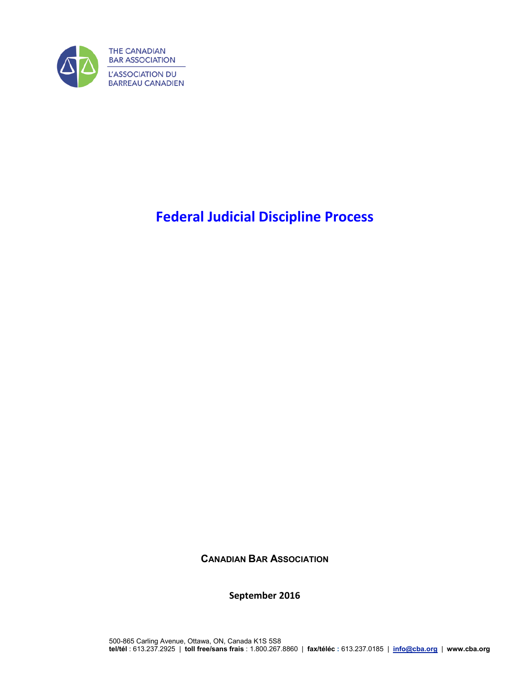

# **Federal Judicial Discipline Process**

**CANADIAN BAR ASSOCIATION**

**September 2016**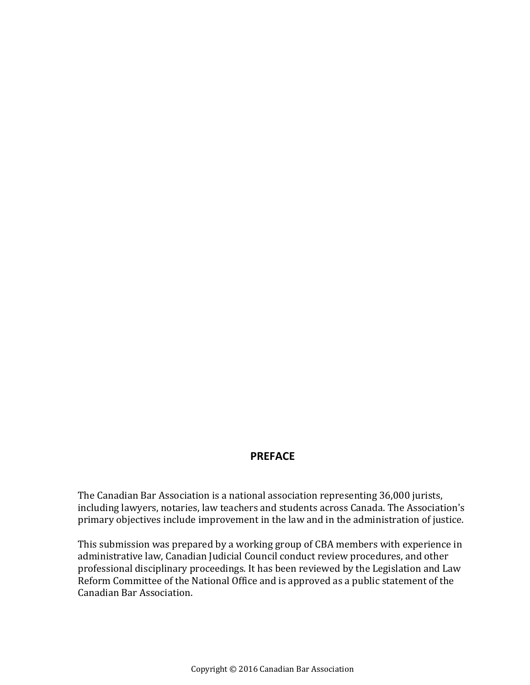### **PREFACE**

The Canadian Bar Association is a national association representing 36,000 jurists, including lawyers, notaries, law teachers and students across Canada. The Association's primary objectives include improvement in the law and in the administration of justice.

This submission was prepared by a working group of CBA members with experience in administrative law, Canadian Judicial Council conduct review procedures, and other professional disciplinary proceedings. It has been reviewed by the Legislation and Law Reform Committee of the National Office and is approved as a public statement of the Canadian Bar Association.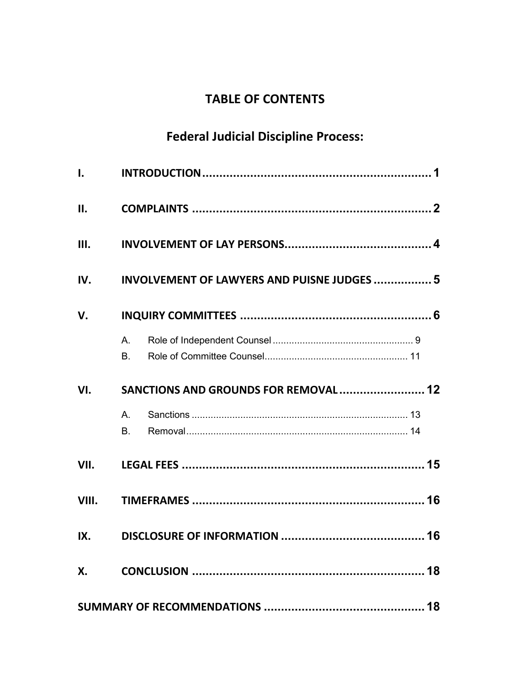## **TABLE OF CONTENTS**

# **Federal Judicial Discipline Process:**

| $\mathbf{l}$ . |                                                    |  |
|----------------|----------------------------------------------------|--|
| II.            |                                                    |  |
| III.           |                                                    |  |
| IV.            | <b>INVOLVEMENT OF LAWYERS AND PUISNE JUDGES  5</b> |  |
| V.             |                                                    |  |
|                | A.<br><b>B.</b>                                    |  |
| VI.            | SANCTIONS AND GROUNDS FOR REMOVAL  12              |  |
|                | A.<br>В.                                           |  |
| VII.           |                                                    |  |
| VIII.          |                                                    |  |
| IX.            |                                                    |  |
| X.             |                                                    |  |
|                |                                                    |  |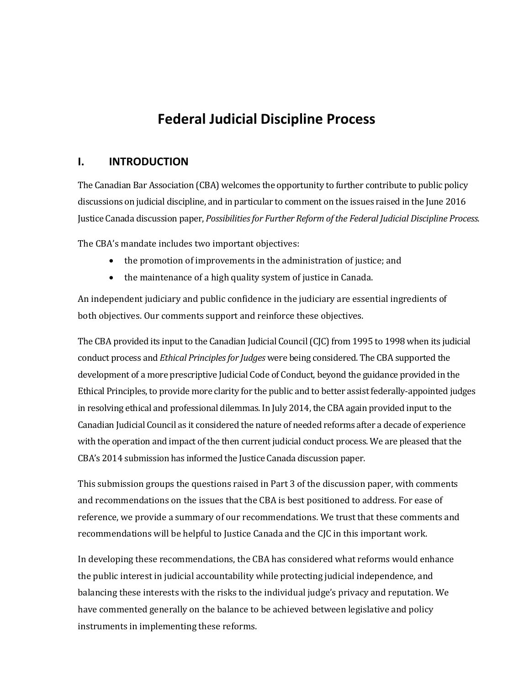## **Federal Judicial Discipline Process**

### <span id="page-4-0"></span>**I. INTRODUCTION**

The Canadian Bar Association (CBA) welcomes the opportunity to further contribute to public policy discussions on judicial discipline, and in particular to comment on the issues raised in the June 2016 Justice Canada discussion paper, *Possibilities for Further Reform of the Federal Judicial Discipline Process*.

The CBA's mandate includes two important objectives:

- the promotion of improvements in the administration of justice; and
- the maintenance of a high quality system of justice in Canada.

An independent judiciary and public confidence in the judiciary are essential ingredients of both objectives. Our comments support and reinforce these objectives.

The CBA provided its input to the Canadian Judicial Council (CJC) from 1995 to 1998 when its judicial conduct process and *Ethical Principles for Judges* were being considered. The CBA supported the development of a more prescriptive Judicial Code of Conduct, beyond the guidance provided in the Ethical Principles, to provide more clarity for the public and to better assist federally-appointed judges in resolving ethical and professional dilemmas. In July 2014, the CBA again provided input to the Canadian Judicial Council as it considered the nature of needed reforms after a decade of experience with the operation and impact of the then current judicial conduct process. We are pleased that the CBA's 2014 submission has informed the Justice Canada discussion paper.

This submission groups the questions raised in Part 3 of the discussion paper, with comments and recommendations on the issues that the CBA is best positioned to address. For ease of reference, we provide a summary of our recommendations. We trust that these comments and recommendations will be helpful to Justice Canada and the CJC in this important work.

In developing these recommendations, the CBA has considered what reforms would enhance the public interest in judicial accountability while protecting judicial independence, and balancing these interests with the risks to the individual judge's privacy and reputation. We have commented generally on the balance to be achieved between legislative and policy instruments in implementing these reforms.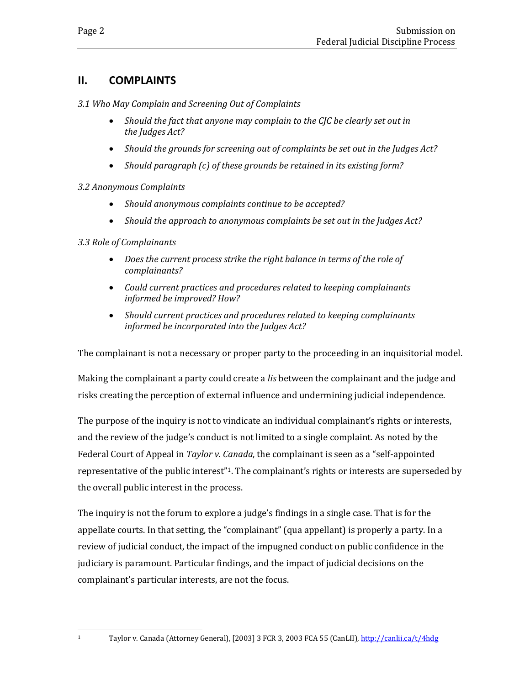### <span id="page-5-0"></span>**II. COMPLAINTS**

*3.1 Who May Complain and Screening Out of Complaints*

- *Should the fact that anyone may complain to the CJC be clearly set out in the Judges Act?*
- *Should the grounds for screening out of complaints be set out in the Judges Act?*
- *Should paragraph (c) of these grounds be retained in its existing form?*

### *3.2 Anonymous Complaints*

- *Should anonymous complaints continue to be accepted?*
- *Should the approach to anonymous complaints be set out in the Judges Act?*

### *3.3 Role of Complainants*

<span id="page-5-1"></span> $\mathbf{1}$ 

- *Does the current process strike the right balance in terms of the role of complainants?*
- *Could current practices and procedures related to keeping complainants informed be improved? How?*
- *Should current practices and procedures related to keeping complainants informed be incorporated into the Judges Act?*

The complainant is not a necessary or proper party to the proceeding in an inquisitorial model.

Making the complainant a party could create a *lis* between the complainant and the judge and risks creating the perception of external influence and undermining judicial independence.

The purpose of the inquiry is not to vindicate an individual complainant's rights or interests, and the review of the judge's conduct is not limited to a single complaint. As noted by the Federal Court of Appeal in *Taylor v. Canada*, the complainant is seen as a "self-appointed representative of the public interest"<sup>1</sup>. The complainant's rights or interests are superseded by the overall public interest in the process.

The inquiry is not the forum to explore a judge's findings in a single case. That is for the appellate courts. In that setting, the "complainant" (qua appellant) is properly a party. In a review of judicial conduct, the impact of the impugned conduct on public confidence in the judiciary is paramount. Particular findings, and the impact of judicial decisions on the complainant's particular interests, are not the focus.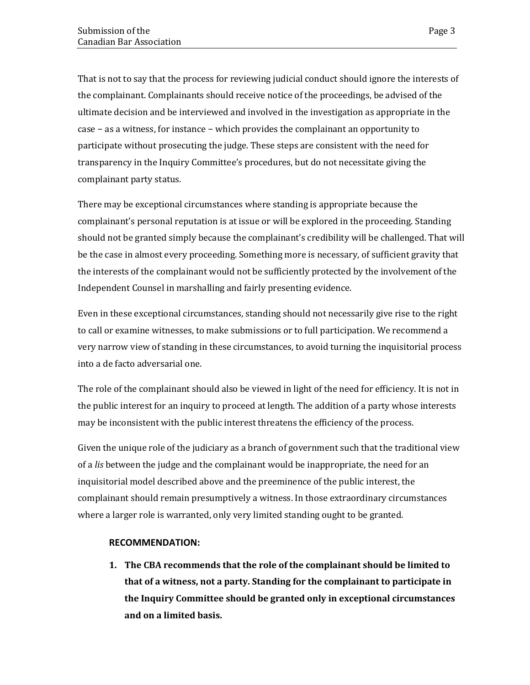That is not to say that the process for reviewing judicial conduct should ignore the interests of the complainant. Complainants should receive notice of the proceedings, be advised of the ultimate decision and be interviewed and involved in the investigation as appropriate in the case − as a witness, for instance − which provides the complainant an opportunity to participate without prosecuting the judge. These steps are consistent with the need for transparency in the Inquiry Committee's procedures, but do not necessitate giving the complainant party status.

There may be exceptional circumstances where standing is appropriate because the complainant's personal reputation is at issue or will be explored in the proceeding. Standing should not be granted simply because the complainant's credibility will be challenged. That will be the case in almost every proceeding. Something more is necessary, of sufficient gravity that the interests of the complainant would not be sufficiently protected by the involvement of the Independent Counsel in marshalling and fairly presenting evidence.

Even in these exceptional circumstances, standing should not necessarily give rise to the right to call or examine witnesses, to make submissions or to full participation. We recommend a very narrow view of standing in these circumstances, to avoid turning the inquisitorial process into a de facto adversarial one.

The role of the complainant should also be viewed in light of the need for efficiency. It is not in the public interest for an inquiry to proceed at length. The addition of a party whose interests may be inconsistent with the public interest threatens the efficiency of the process.

Given the unique role of the judiciary as a branch of government such that the traditional view of a *lis* between the judge and the complainant would be inappropriate, the need for an inquisitorial model described above and the preeminence of the public interest, the complainant should remain presumptively a witness. In those extraordinary circumstances where a larger role is warranted, only very limited standing ought to be granted.

### **RECOMMENDATION:**

**1. The CBA recommends that the role of the complainant should be limited to that of a witness, not a party. Standing for the complainant to participate in the Inquiry Committee should be granted only in exceptional circumstances and on a limited basis.**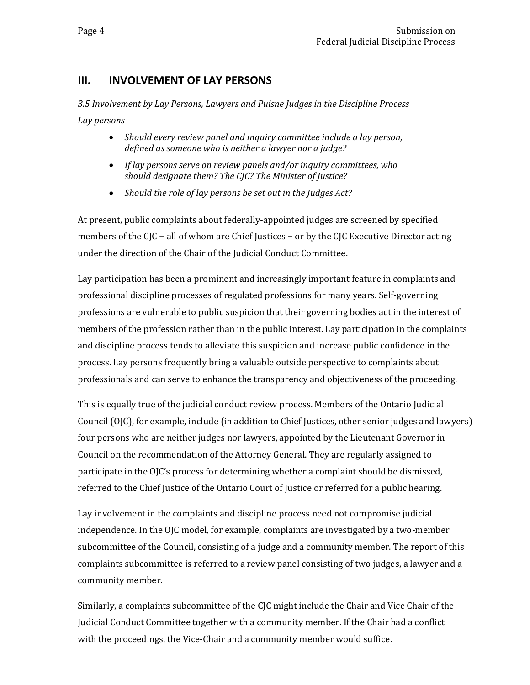### <span id="page-7-0"></span>**III. INVOLVEMENT OF LAY PERSONS**

*3.5 Involvement by Lay Persons, Lawyers and Puisne Judges in the Discipline Process Lay persons*

- *Should every review panel and inquiry committee include a lay person, defined as someone who is neither a lawyer nor a judge?*
- *If lay persons serve on review panels and/or inquiry committees, who should designate them? The CJC? The Minister of Justice?*
- *Should the role of lay persons be set out in the Judges Act?*

At present, public complaints about federally-appointed judges are screened by specified members of the CJC – all of whom are Chief Justices – or by the CJC Executive Director acting under the direction of the Chair of the Judicial Conduct Committee.

Lay participation has been a prominent and increasingly important feature in complaints and professional discipline processes of regulated professions for many years. Self-governing professions are vulnerable to public suspicion that their governing bodies act in the interest of members of the profession rather than in the public interest. Lay participation in the complaints and discipline process tends to alleviate this suspicion and increase public confidence in the process. Lay persons frequently bring a valuable outside perspective to complaints about professionals and can serve to enhance the transparency and objectiveness of the proceeding.

This is equally true of the judicial conduct review process. Members of the Ontario Judicial Council (OJC), for example, include (in addition to Chief Justices, other senior judges and lawyers) four persons who are neither judges nor lawyers, appointed by the Lieutenant Governor in Council on the recommendation of the Attorney General. They are regularly assigned to participate in the OJC's process for determining whether a complaint should be dismissed, referred to the Chief Justice of the Ontario Court of Justice or referred for a public hearing.

Lay involvement in the complaints and discipline process need not compromise judicial independence. In the OJC model, for example, complaints are investigated by a two-member subcommittee of the Council, consisting of a judge and a community member. The report of this complaints subcommittee is referred to a review panel consisting of two judges, a lawyer and a community member.

Similarly, a complaints subcommittee of the CJC might include the Chair and Vice Chair of the Judicial Conduct Committee together with a community member. If the Chair had a conflict with the proceedings, the Vice-Chair and a community member would suffice.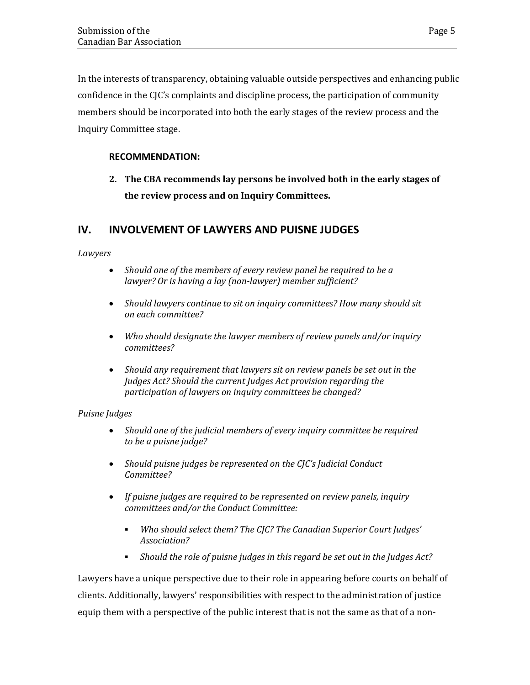In the interests of transparency, obtaining valuable outside perspectives and enhancing public confidence in the CJC's complaints and discipline process, the participation of community members should be incorporated into both the early stages of the review process and the Inquiry Committee stage.

### **RECOMMENDATION:**

**2. The CBA recommends lay persons be involved both in the early stages of the review process and on Inquiry Committees.**

### <span id="page-8-0"></span>**IV. INVOLVEMENT OF LAWYERS AND PUISNE JUDGES**

*Lawyers*

- *Should one of the members of every review panel be required to be a lawyer? Or is having a lay (non-lawyer) member sufficient?*
- *Should lawyers continue to sit on inquiry committees? How many should sit on each committee?*
- *Who should designate the lawyer members of review panels and/or inquiry committees?*
- *Should any requirement that lawyers sit on review panels be set out in the Judges Act? Should the current Judges Act provision regarding the participation of lawyers on inquiry committees be changed?*

### *Puisne Judges*

- *Should one of the judicial members of every inquiry committee be required to be a puisne judge?*
- *Should puisne judges be represented on the CJC's Judicial Conduct Committee?*
- *If puisne judges are required to be represented on review panels, inquiry committees and/or the Conduct Committee:*
	- *Who should select them? The CJC? The Canadian Superior Court Judges' Association?*
	- *Should the role of puisne judges in this regard be set out in the Judges Act?*

Lawyers have a unique perspective due to their role in appearing before courts on behalf of clients. Additionally, lawyers' responsibilities with respect to the administration of justice equip them with a perspective of the public interest that is not the same as that of a non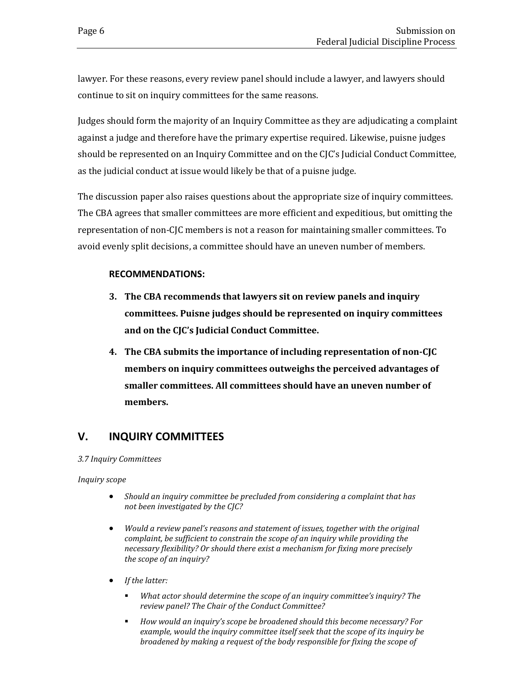lawyer. For these reasons, every review panel should include a lawyer, and lawyers should continue to sit on inquiry committees for the same reasons.

Judges should form the majority of an Inquiry Committee as they are adjudicating a complaint against a judge and therefore have the primary expertise required. Likewise, puisne judges should be represented on an Inquiry Committee and on the CJC's Judicial Conduct Committee, as the judicial conduct at issue would likely be that of a puisne judge.

The discussion paper also raises questions about the appropriate size of inquiry committees. The CBA agrees that smaller committees are more efficient and expeditious, but omitting the representation of non-CJC members is not a reason for maintaining smaller committees. To avoid evenly split decisions, a committee should have an uneven number of members.

### **RECOMMENDATIONS:**

- **3. The CBA recommends that lawyers sit on review panels and inquiry committees. Puisne judges should be represented on inquiry committees and on the CJC's Judicial Conduct Committee.**
- **4. The CBA submits the importance of including representation of non-CJC members on inquiry committees outweighs the perceived advantages of smaller committees. All committees should have an uneven number of members.**

### <span id="page-9-0"></span>**V. INQUIRY COMMITTEES**

#### *3.7 Inquiry Committees*

*Inquiry scope*

- *Should an inquiry committee be precluded from considering a complaint that has not been investigated by the CJC?*
- *Would a review panel's reasons and statement of issues, together with the original complaint, be sufficient to constrain the scope of an inquiry while providing the necessary flexibility? Or should there exist a mechanism for fixing more precisely the scope of an inquiry?*
- *If the latter:*
	- *What actor should determine the scope of an inquiry committee's inquiry? The review panel? The Chair of the Conduct Committee?*
	- *How would an inquiry's scope be broadened should this become necessary? For example, would the inquiry committee itself seek that the scope of its inquiry be broadened by making a request of the body responsible for fixing the scope of*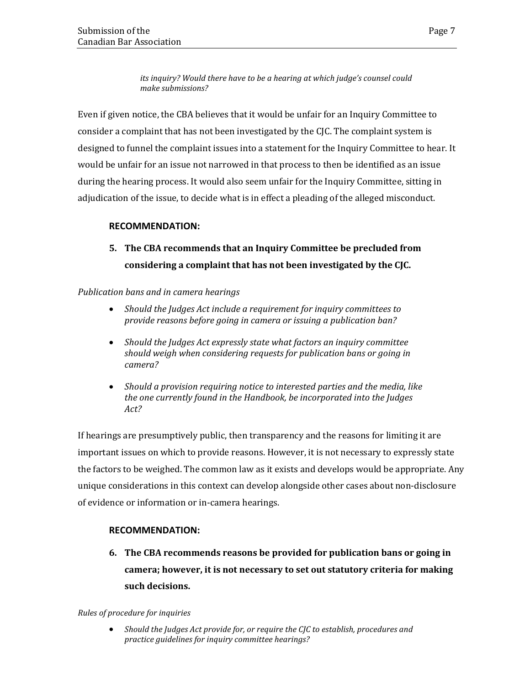*its inquiry? Would there have to be a hearing at which judge's counsel could make submissions?*

Even if given notice, the CBA believes that it would be unfair for an Inquiry Committee to consider a complaint that has not been investigated by the CJC. The complaint system is designed to funnel the complaint issues into a statement for the Inquiry Committee to hear. It would be unfair for an issue not narrowed in that process to then be identified as an issue during the hearing process. It would also seem unfair for the Inquiry Committee, sitting in adjudication of the issue, to decide what is in effect a pleading of the alleged misconduct.

#### **RECOMMENDATION:**

### **5. The CBA recommends that an Inquiry Committee be precluded from considering a complaint that has not been investigated by the CJC.**

*Publication bans and in camera hearings*

- *Should the Judges Act include a requirement for inquiry committees to provide reasons before going in camera or issuing a publication ban?*
- *Should the Judges Act expressly state what factors an inquiry committee should weigh when considering requests for publication bans or going in camera?*
- *Should a provision requiring notice to interested parties and the media, like the one currently found in the Handbook, be incorporated into the Judges Act?*

If hearings are presumptively public, then transparency and the reasons for limiting it are important issues on which to provide reasons. However, it is not necessary to expressly state the factors to be weighed. The common law as it exists and develops would be appropriate. Any unique considerations in this context can develop alongside other cases about non-disclosure of evidence or information or in-camera hearings.

### **RECOMMENDATION:**

**6. The CBA recommends reasons be provided for publication bans or going in camera; however, it is not necessary to set out statutory criteria for making such decisions.**

#### *Rules of procedure for inquiries*

• *Should the Judges Act provide for, or require the CJC to establish, procedures and practice guidelines for inquiry committee hearings?*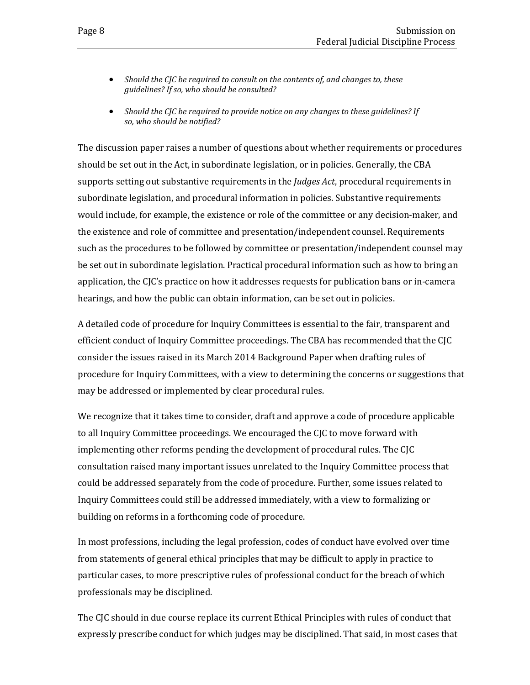- *Should the CJC be required to consult on the contents of, and changes to, these guidelines? If so, who should be consulted?*
- *Should the CJC be required to provide notice on any changes to these guidelines? If so, who should be notified?*

The discussion paper raises a number of questions about whether requirements or procedures should be set out in the Act, in subordinate legislation, or in policies. Generally, the CBA supports setting out substantive requirements in the *Judges Act*, procedural requirements in subordinate legislation, and procedural information in policies. Substantive requirements would include, for example, the existence or role of the committee or any decision-maker, and the existence and role of committee and presentation/independent counsel. Requirements such as the procedures to be followed by committee or presentation/independent counsel may be set out in subordinate legislation. Practical procedural information such as how to bring an application, the CJC's practice on how it addresses requests for publication bans or in-camera hearings, and how the public can obtain information, can be set out in policies.

A detailed code of procedure for Inquiry Committees is essential to the fair, transparent and efficient conduct of Inquiry Committee proceedings. The CBA has recommended that the CJC consider the issues raised in its March 2014 Background Paper when drafting rules of procedure for Inquiry Committees, with a view to determining the concerns or suggestions that may be addressed or implemented by clear procedural rules.

We recognize that it takes time to consider, draft and approve a code of procedure applicable to all Inquiry Committee proceedings. We encouraged the CJC to move forward with implementing other reforms pending the development of procedural rules. The CJC consultation raised many important issues unrelated to the Inquiry Committee process that could be addressed separately from the code of procedure. Further, some issues related to Inquiry Committees could still be addressed immediately, with a view to formalizing or building on reforms in a forthcoming code of procedure.

In most professions, including the legal profession, codes of conduct have evolved over time from statements of general ethical principles that may be difficult to apply in practice to particular cases, to more prescriptive rules of professional conduct for the breach of which professionals may be disciplined.

The CJC should in due course replace its current Ethical Principles with rules of conduct that expressly prescribe conduct for which judges may be disciplined. That said, in most cases that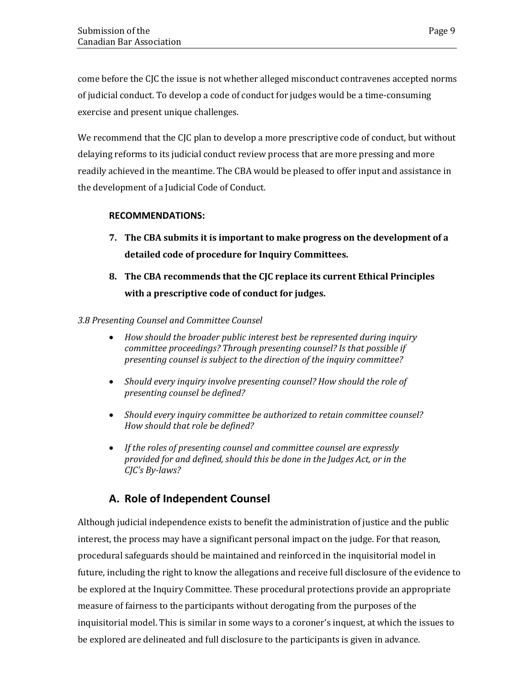come before the CJC the issue is not whether alleged misconduct contravenes accepted norms of judicial conduct. To develop a code of conduct for judges would be a time-consuming exercise and present unique challenges.

We recommend that the CJC plan to develop a more prescriptive code of conduct, but without delaying reforms to its judicial conduct review process that are more pressing and more readily achieved in the meantime. The CBA would be pleased to offer input and assistance in the development of a Judicial Code of Conduct.

### **RECOMMENDATIONS:**

- **7. The CBA submits it is important to make progress on the development of a detailed code of procedure for Inquiry Committees.**
- **8. The CBA recommends that the CJC replace its current Ethical Principles with a prescriptive code of conduct for judges.**

### *3.8 Presenting Counsel and Committee Counsel*

- *How should the broader public interest best be represented during inquiry committee proceedings? Through presenting counsel? Is that possible if presenting counsel is subject to the direction of the inquiry committee?*
- *Should every inquiry involve presenting counsel? How should the role of presenting counsel be defined?*
- *Should every inquiry committee be authorized to retain committee counsel? How should that role be defined?*
- *If the roles of presenting counsel and committee counsel are expressly provided for and defined, should this be done in the Judges Act, or in the CJC's By-laws?*

### <span id="page-12-0"></span>**A. Role of Independent Counsel**

Although judicial independence exists to benefit the administration of justice and the public interest, the process may have a significant personal impact on the judge. For that reason, procedural safeguards should be maintained and reinforced in the inquisitorial model in future, including the right to know the allegations and receive full disclosure of the evidence to be explored at the Inquiry Committee. These procedural protections provide an appropriate measure of fairness to the participants without derogating from the purposes of the inquisitorial model. This is similar in some ways to a coroner's inquest, at which the issues to be explored are delineated and full disclosure to the participants is given in advance.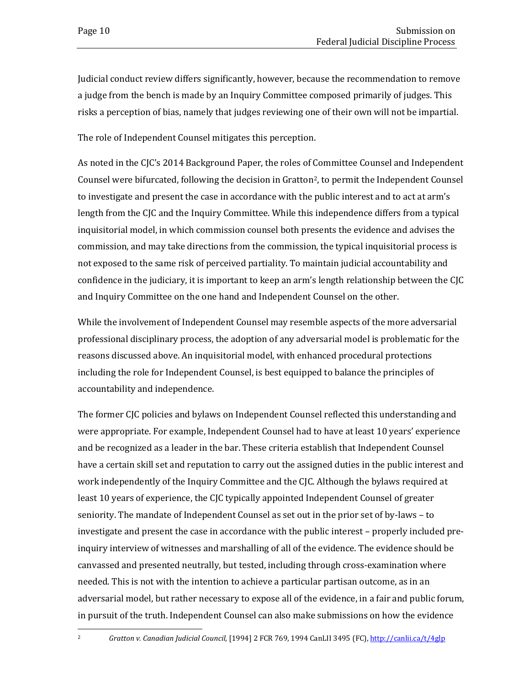Judicial conduct review differs significantly, however, because the recommendation to remove a judge from the bench is made by an Inquiry Committee composed primarily of judges. This risks a perception of bias, namely that judges reviewing one of their own will not be impartial.

The role of Independent Counsel mitigates this perception.

As noted in the CJC's 2014 Background Paper, the roles of Committee Counsel and Independent Counsel were bifurcated, following the decision in Gratton<sup>2</sup>, to permit the Independent Counsel to investigate and present the case in accordance with the public interest and to act at arm's length from the CJC and the Inquiry Committee. While this independence differs from a typical inquisitorial model, in which commission counsel both presents the evidence and advises the commission, and may take directions from the commission, the typical inquisitorial process is not exposed to the same risk of perceived partiality. To maintain judicial accountability and confidence in the judiciary, it is important to keep an arm's length relationship between the CJC and Inquiry Committee on the one hand and Independent Counsel on the other.

While the involvement of Independent Counsel may resemble aspects of the more adversarial professional disciplinary process, the adoption of any adversarial model is problematic for the reasons discussed above. An inquisitorial model, with enhanced procedural protections including the role for Independent Counsel, is best equipped to balance the principles of accountability and independence.

<span id="page-13-0"></span>The former CJC policies and bylaws on Independent Counsel reflected this understanding and were appropriate. For example, Independent Counsel had to have at least 10 years' experience and be recognized as a leader in the bar. These criteria establish that Independent Counsel have a certain skill set and reputation to carry out the assigned duties in the public interest and work independently of the Inquiry Committee and the CJC. Although the bylaws required at least 10 years of experience, the CJC typically appointed Independent Counsel of greater seniority. The mandate of Independent Counsel as set out in the prior set of by-laws – to investigate and present the case in accordance with the public interest – properly included preinquiry interview of witnesses and marshalling of all of the evidence. The evidence should be canvassed and presented neutrally, but tested, including through cross-examination where needed. This is not with the intention to achieve a particular partisan outcome, as in an adversarial model, but rather necessary to expose all of the evidence, in a fair and public forum, in pursuit of the truth. Independent Counsel can also make submissions on how the evidence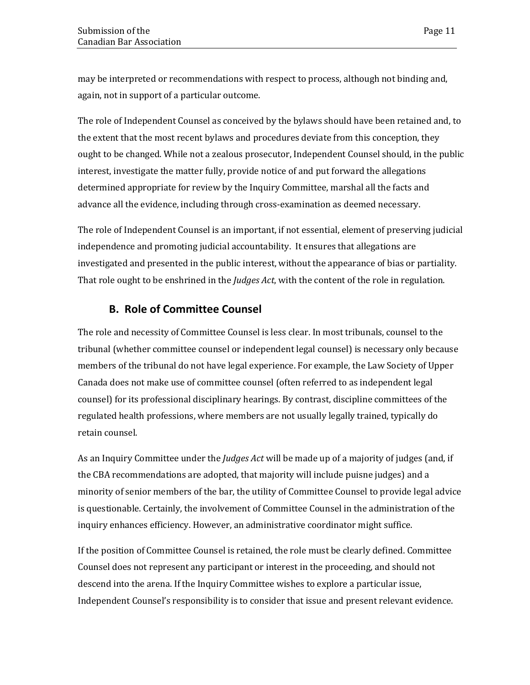may be interpreted or recommendations with respect to process, although not binding and, again, not in support of a particular outcome.

The role of Independent Counsel as conceived by the bylaws should have been retained and, to the extent that the most recent bylaws and procedures deviate from this conception, they ought to be changed. While not a zealous prosecutor, Independent Counsel should, in the public interest, investigate the matter fully, provide notice of and put forward the allegations determined appropriate for review by the Inquiry Committee, marshal all the facts and advance all the evidence, including through cross-examination as deemed necessary.

The role of Independent Counsel is an important, if not essential, element of preserving judicial independence and promoting judicial accountability. It ensures that allegations are investigated and presented in the public interest, without the appearance of bias or partiality. That role ought to be enshrined in the *Judges Act*, with the content of the role in regulation.

### **B. Role of Committee Counsel**

<span id="page-14-0"></span>The role and necessity of Committee Counsel is less clear. In most tribunals, counsel to the tribunal (whether committee counsel or independent legal counsel) is necessary only because members of the tribunal do not have legal experience. For example, the Law Society of Upper Canada does not make use of committee counsel (often referred to as independent legal counsel) for its professional disciplinary hearings. By contrast, discipline committees of the regulated health professions, where members are not usually legally trained, typically do retain counsel.

As an Inquiry Committee under the *Judges Act* will be made up of a majority of judges (and, if the CBA recommendations are adopted, that majority will include puisne judges) and a minority of senior members of the bar, the utility of Committee Counsel to provide legal advice is questionable. Certainly, the involvement of Committee Counsel in the administration of the inquiry enhances efficiency. However, an administrative coordinator might suffice.

If the position of Committee Counsel is retained, the role must be clearly defined. Committee Counsel does not represent any participant or interest in the proceeding, and should not descend into the arena. If the Inquiry Committee wishes to explore a particular issue, Independent Counsel's responsibility is to consider that issue and present relevant evidence.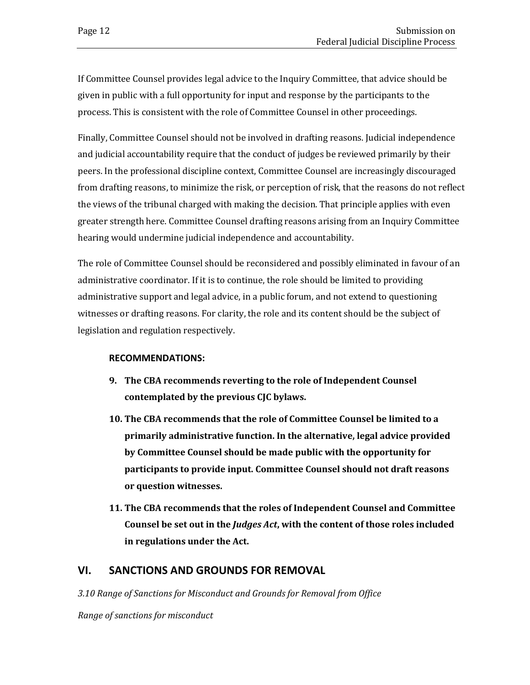If Committee Counsel provides legal advice to the Inquiry Committee, that advice should be given in public with a full opportunity for input and response by the participants to the process. This is consistent with the role of Committee Counsel in other proceedings.

Finally, Committee Counsel should not be involved in drafting reasons. Judicial independence and judicial accountability require that the conduct of judges be reviewed primarily by their peers. In the professional discipline context, Committee Counsel are increasingly discouraged from drafting reasons, to minimize the risk, or perception of risk, that the reasons do not reflect the views of the tribunal charged with making the decision. That principle applies with even greater strength here. Committee Counsel drafting reasons arising from an Inquiry Committee hearing would undermine judicial independence and accountability.

The role of Committee Counsel should be reconsidered and possibly eliminated in favour of an administrative coordinator. If it is to continue, the role should be limited to providing administrative support and legal advice, in a public forum, and not extend to questioning witnesses or drafting reasons. For clarity, the role and its content should be the subject of legislation and regulation respectively.

### **RECOMMENDATIONS:**

- **9. The CBA recommends reverting to the role of Independent Counsel contemplated by the previous CJC bylaws.**
- **10. The CBA recommends that the role of Committee Counsel be limited to a primarily administrative function. In the alternative, legal advice provided by Committee Counsel should be made public with the opportunity for participants to provide input. Committee Counsel should not draft reasons or question witnesses.**
- **11. The CBA recommends that the roles of Independent Counsel and Committee Counsel be set out in the** *Judges Act***, with the content of those roles included in regulations under the Act.**

### <span id="page-15-0"></span>**VI. SANCTIONS AND GROUNDS FOR REMOVAL**

*3.10 Range of Sanctions for Misconduct and Grounds for Removal from Office*

*Range of sanctions for misconduct*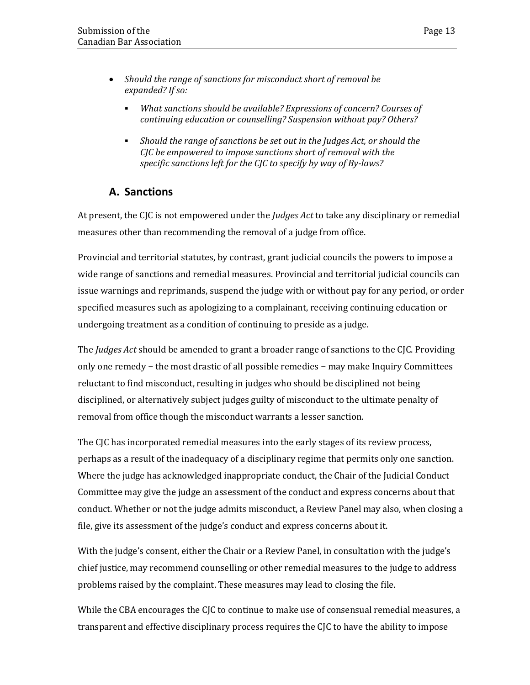- *Should the range of sanctions for misconduct short of removal be expanded? If so:*
	- *What sanctions should be available? Expressions of concern? Courses of continuing education or counselling? Suspension without pay? Others?*
	- *Should the range of sanctions be set out in the Judges Act, or should the CJC be empowered to impose sanctions short of removal with the specific sanctions left for the CJC to specify by way of By-laws?*

### <span id="page-16-0"></span>**A. Sanctions**

At present, the CJC is not empowered under the *Judges Act* to take any disciplinary or remedial measures other than recommending the removal of a judge from office.

Provincial and territorial statutes, by contrast, grant judicial councils the powers to impose a wide range of sanctions and remedial measures. Provincial and territorial judicial councils can issue warnings and reprimands, suspend the judge with or without pay for any period, or order specified measures such as apologizing to a complainant, receiving continuing education or undergoing treatment as a condition of continuing to preside as a judge.

The *Judges Act* should be amended to grant a broader range of sanctions to the CJC. Providing only one remedy − the most drastic of all possible remedies − may make Inquiry Committees reluctant to find misconduct, resulting in judges who should be disciplined not being disciplined, or alternatively subject judges guilty of misconduct to the ultimate penalty of removal from office though the misconduct warrants a lesser sanction.

The CJC has incorporated remedial measures into the early stages of its review process, perhaps as a result of the inadequacy of a disciplinary regime that permits only one sanction. Where the judge has acknowledged inappropriate conduct, the Chair of the Judicial Conduct Committee may give the judge an assessment of the conduct and express concerns about that conduct. Whether or not the judge admits misconduct, a Review Panel may also, when closing a file, give its assessment of the judge's conduct and express concerns about it.

With the judge's consent, either the Chair or a Review Panel, in consultation with the judge's chief justice, may recommend counselling or other remedial measures to the judge to address problems raised by the complaint. These measures may lead to closing the file.

While the CBA encourages the CJC to continue to make use of consensual remedial measures, a transparent and effective disciplinary process requires the CJC to have the ability to impose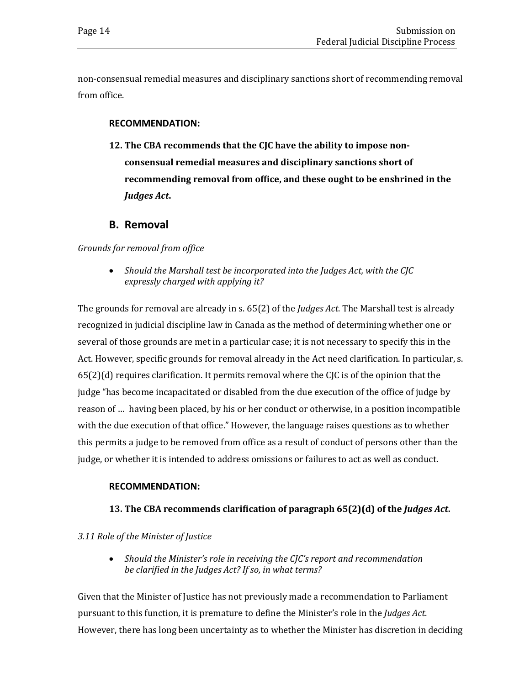non-consensual remedial measures and disciplinary sanctions short of recommending removal from office.

#### **RECOMMENDATION:**

**12. The CBA recommends that the CJC have the ability to impose nonconsensual remedial measures and disciplinary sanctions short of recommending removal from office, and these ought to be enshrined in the**  *Judges Act***.** 

### **B. Removal**

#### <span id="page-17-0"></span>*Grounds for removal from office*

• *Should the Marshall test be incorporated into the Judges Act, with the CJC expressly charged with applying it?*

The grounds for removal are already in s. 65(2) of the *Judges Act*. The Marshall test is already recognized in judicial discipline law in Canada as the method of determining whether one or several of those grounds are met in a particular case; it is not necessary to specify this in the Act. However, specific grounds for removal already in the Act need clarification. In particular, s. 65(2)(d) requires clarification. It permits removal where the CJC is of the opinion that the judge "has become incapacitated or disabled from the due execution of the office of judge by reason of … having been placed, by his or her conduct or otherwise, in a position incompatible with the due execution of that office." However, the language raises questions as to whether this permits a judge to be removed from office as a result of conduct of persons other than the judge, or whether it is intended to address omissions or failures to act as well as conduct.

#### **RECOMMENDATION:**

### **13. The CBA recommends clarification of paragraph 65(2)(d) of the** *Judges Act***.**

#### *3.11 Role of the Minister of Justice*

• *Should the Minister's role in receiving the CJC's report and recommendation be clarified in the Judges Act? If so, in what terms?*

Given that the Minister of Justice has not previously made a recommendation to Parliament pursuant to this function, it is premature to define the Minister's role in the *Judges Act*. However, there has long been uncertainty as to whether the Minister has discretion in deciding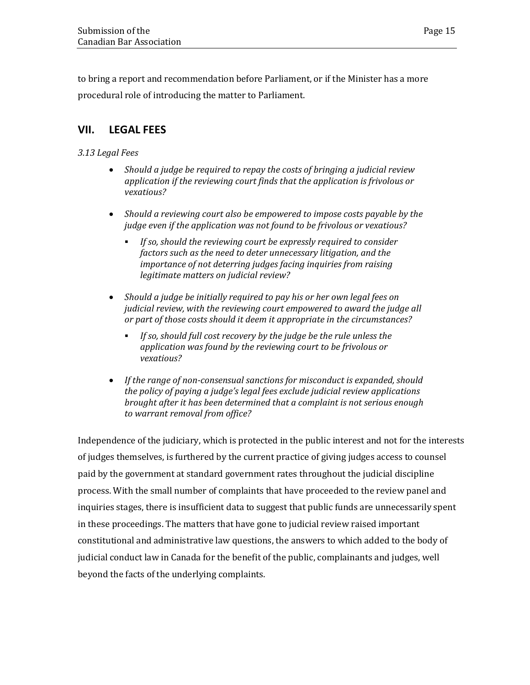to bring a report and recommendation before Parliament, or if the Minister has a more procedural role of introducing the matter to Parliament.

### <span id="page-18-0"></span>**VII. LEGAL FEES**

### *3.13 Legal Fees*

- *Should a judge be required to repay the costs of bringing a judicial review application if the reviewing court finds that the application is frivolous or vexatious?*
- *Should a reviewing court also be empowered to impose costs payable by the judge even if the application was not found to be frivolous or vexatious?*
	- *If so, should the reviewing court be expressly required to consider factors such as the need to deter unnecessary litigation, and the importance of not deterring judges facing inquiries from raising legitimate matters on judicial review?*
- *Should a judge be initially required to pay his or her own legal fees on judicial review, with the reviewing court empowered to award the judge all or part of those costs should it deem it appropriate in the circumstances?*
	- *If so, should full cost recovery by the judge be the rule unless the application was found by the reviewing court to be frivolous or vexatious?*
- *If the range of non-consensual sanctions for misconduct is expanded, should the policy of paying a judge's legal fees exclude judicial review applications brought after it has been determined that a complaint is not serious enough to warrant removal from office?*

Independence of the judiciary, which is protected in the public interest and not for the interests of judges themselves, is furthered by the current practice of giving judges access to counsel paid by the government at standard government rates throughout the judicial discipline process. With the small number of complaints that have proceeded to the review panel and inquiries stages, there is insufficient data to suggest that public funds are unnecessarily spent in these proceedings. The matters that have gone to judicial review raised important constitutional and administrative law questions, the answers to which added to the body of judicial conduct law in Canada for the benefit of the public, complainants and judges, well beyond the facts of the underlying complaints.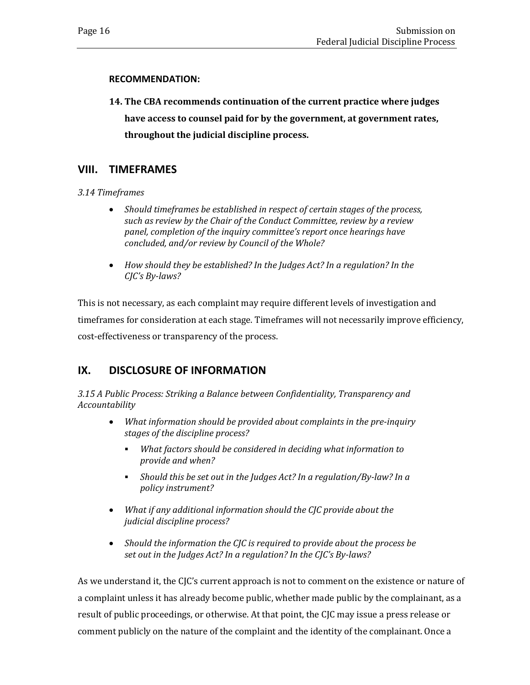### **RECOMMENDATION:**

**14. The CBA recommends continuation of the current practice where judges have access to counsel paid for by the government, at government rates, throughout the judicial discipline process.**

### <span id="page-19-0"></span>**VIII. TIMEFRAMES**

*3.14 Timeframes*

- *Should timeframes be established in respect of certain stages of the process, such as review by the Chair of the Conduct Committee, review by a review panel, completion of the inquiry committee's report once hearings have concluded, and/or review by Council of the Whole?*
- *How should they be established? In the Judges Act? In a regulation? In the CJC's By-laws?*

This is not necessary, as each complaint may require different levels of investigation and timeframes for consideration at each stage. Timeframes will not necessarily improve efficiency, cost-effectiveness or transparency of the process.

### <span id="page-19-1"></span>**IX. DISCLOSURE OF INFORMATION**

*3.15 A Public Process: Striking a Balance between Confidentiality, Transparency and Accountability*

- *What information should be provided about complaints in the pre-inquiry stages of the discipline process?*
	- *What factors should be considered in deciding what information to provide and when?*
	- *Should this be set out in the Judges Act? In a regulation/By-law? In a policy instrument?*
- *What if any additional information should the CJC provide about the judicial discipline process?*
- *Should the information the CJC is required to provide about the process be set out in the Judges Act? In a regulation? In the CJC's By-laws?*

As we understand it, the CJC's current approach is not to comment on the existence or nature of a complaint unless it has already become public, whether made public by the complainant, as a result of public proceedings, or otherwise. At that point, the CJC may issue a press release or comment publicly on the nature of the complaint and the identity of the complainant. Once a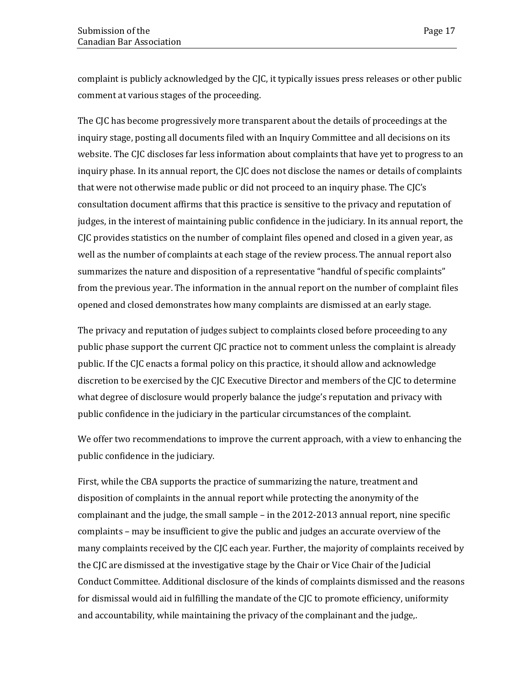complaint is publicly acknowledged by the CJC, it typically issues press releases or other public comment at various stages of the proceeding.

The CJC has become progressively more transparent about the details of proceedings at the inquiry stage, posting all documents filed with an Inquiry Committee and all decisions on its website. The CJC discloses far less information about complaints that have yet to progress to an inquiry phase. In its annual report, the CJC does not disclose the names or details of complaints that were not otherwise made public or did not proceed to an inquiry phase. The CJC's consultation document affirms that this practice is sensitive to the privacy and reputation of judges, in the interest of maintaining public confidence in the judiciary. In its annual report, the CJC provides statistics on the number of complaint files opened and closed in a given year, as well as the number of complaints at each stage of the review process. The annual report also summarizes the nature and disposition of a representative "handful of specific complaints" from the previous year. The information in the annual report on the number of complaint files opened and closed demonstrates how many complaints are dismissed at an early stage.

The privacy and reputation of judges subject to complaints closed before proceeding to any public phase support the current CJC practice not to comment unless the complaint is already public. If the CJC enacts a formal policy on this practice, it should allow and acknowledge discretion to be exercised by the CJC Executive Director and members of the CJC to determine what degree of disclosure would properly balance the judge's reputation and privacy with public confidence in the judiciary in the particular circumstances of the complaint.

We offer two recommendations to improve the current approach, with a view to enhancing the public confidence in the judiciary.

First, while the CBA supports the practice of summarizing the nature, treatment and disposition of complaints in the annual report while protecting the anonymity of the complainant and the judge, the small sample – in the 2012-2013 annual report, nine specific complaints – may be insufficient to give the public and judges an accurate overview of the many complaints received by the CJC each year. Further, the majority of complaints received by the CJC are dismissed at the investigative stage by the Chair or Vice Chair of the Judicial Conduct Committee. Additional disclosure of the kinds of complaints dismissed and the reasons for dismissal would aid in fulfilling the mandate of the CJC to promote efficiency, uniformity and accountability, while maintaining the privacy of the complainant and the judge,.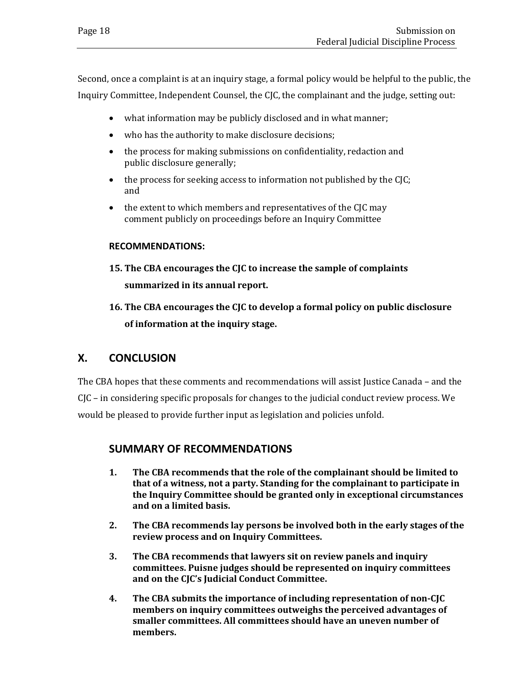Second, once a complaint is at an inquiry stage, a formal policy would be helpful to the public, the Inquiry Committee, Independent Counsel, the CJC, the complainant and the judge, setting out:

- what information may be publicly disclosed and in what manner;
- who has the authority to make disclosure decisions;
- the process for making submissions on confidentiality, redaction and public disclosure generally;
- the process for seeking access to information not published by the CJC; and
- the extent to which members and representatives of the CJC may comment publicly on proceedings before an Inquiry Committee

#### **RECOMMENDATIONS:**

- **15. The CBA encourages the CJC to increase the sample of complaints summarized in its annual report.**
- **16. The CBA encourages the CJC to develop a formal policy on public disclosure of information at the inquiry stage.**

### <span id="page-21-0"></span>**X. CONCLUSION**

The CBA hopes that these comments and recommendations will assist Justice Canada – and the CJC – in considering specific proposals for changes to the judicial conduct review process. We would be pleased to provide further input as legislation and policies unfold.

### <span id="page-21-1"></span>**SUMMARY OF RECOMMENDATIONS**

- **1. The CBA recommends that the role of the complainant should be limited to that of a witness, not a party. Standing for the complainant to participate in the Inquiry Committee should be granted only in exceptional circumstances and on a limited basis.**
- **2. The CBA recommends lay persons be involved both in the early stages of the review process and on Inquiry Committees.**
- **3. The CBA recommends that lawyers sit on review panels and inquiry committees. Puisne judges should be represented on inquiry committees and on the CJC's Judicial Conduct Committee.**
- **4. The CBA submits the importance of including representation of non-CJC members on inquiry committees outweighs the perceived advantages of smaller committees. All committees should have an uneven number of members.**